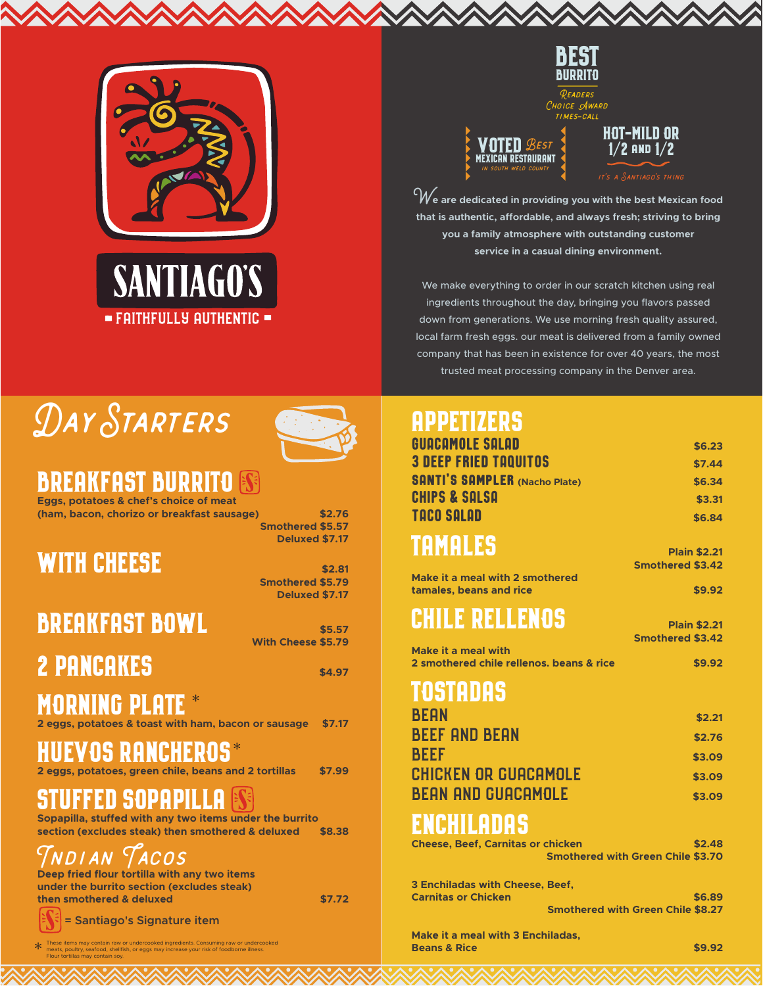

= FAITHFULLY AUTHENTIC =



Readers Choice Award



**HOT-MILD OR 1**/**2 and 1**/**2**

**We are dedicated in providing you with the best Mexican food that is authentic, affordable, and always fresh; striving to bring you a family atmosphere with outstanding customer service in a casual dining environment.**

We make everything to order in our scratch kitchen using real ingredients throughout the day, bringing you flavors passed down from generations. We use morning fresh quality assured, local farm fresh eggs. our meat is delivered from a family owned company that has been in existence for over 40 years, the most trusted meat processing company in the Denver area.

# DAY STARTERS **APPETIZERS**



### **BREAKFAST BURRITO**

**Eggs, potatoes & chef's choice of meat (ham, bacon, chorizo or breakfast sausage) \$2.76**

### **WITH CHEESE**  $\frac{1}{2.81}$

**Smothered \$5.79 Deluxed \$7.17**

**Smothered \$5.57 Deluxed \$7.17**

### **BREAKFAST BOWL**

**With Cheese \$5.79 2 PANCAKES \$4.97** 

**MORNING PLATE** \*

**2 eggs, potatoes & toast with ham, bacon or sausage \$7.17**

### **HUEVOS RANCHEROS** \*

**2 eggs, potatoes, green chile, beans and 2 tortillas \$7.99**

### **STUFFED SOPAPILLA**

**Sopapilla, stuffed with any two items under the burrito section (excludes steak) then smothered & deluxed \$8.38**

Indian Tacos

**Deep fried flour tortilla with any two items under the burrito section (excludes steak) then smothered & deluxed \$7.72** 

**= Santiago's Signature item**

\* These items may contain raw or undercooked ingredients. Consuming raw or undercooked meats, poultry, seafood, shellfish, or eggs may increase your risk of foodborne illness. Flour tortillas may contain soy.

# GUACAMOLE SALAD **\$6.23**

| <b>3 DEEP FRIED TAQUITOS</b>             | \$7.44                                   |  |
|------------------------------------------|------------------------------------------|--|
| <b>SANTI'S SAMPLER (Nacho Plate)</b>     | \$6.34                                   |  |
| <b>CHIPS &amp; SALSA</b>                 | \$3.31                                   |  |
| <b>TACO SALAD</b>                        | \$6.84                                   |  |
| TAMALES                                  |                                          |  |
|                                          | <b>Plain \$2.21</b>                      |  |
| <b>Make it a meal with 2 smothered</b>   | <b>Smothered \$3.42</b>                  |  |
| tamales, beans and rice                  | \$9.92                                   |  |
|                                          |                                          |  |
| CHILE RELLENOS                           | <b>Plain \$2.21</b>                      |  |
| Make it a meal with                      | <b>Smothered \$3.42</b>                  |  |
| 2 smothered chile rellenos. beans & rice | \$9.92                                   |  |
|                                          |                                          |  |
| TOSTADAS                                 |                                          |  |
| <b>BEAN</b>                              | \$2.21                                   |  |
| <b>BEEF AND BEAN</b>                     | \$2.76                                   |  |
| <b>BEEF</b>                              | \$3.09                                   |  |
| <b>CHICKEN OR GUACAMOLE</b>              | \$3.09                                   |  |
| BEAN AND GUACAMOLE                       | \$3.09                                   |  |
|                                          |                                          |  |
| ENCHILADAS                               |                                          |  |
| <b>Cheese, Beef, Carnitas or chicken</b> | \$2.48                                   |  |
|                                          | <b>Smothered with Green Chile \$3.70</b> |  |
| <b>3 Enchiladas with Cheese, Beef,</b>   |                                          |  |
| <b>Carnitas or Chicken</b>               | \$6.89                                   |  |
|                                          | <b>Smothered with Green Chile \$8.27</b> |  |

**Make it a meal with 3 Enchiladas, Beans & Rice \$9.92**